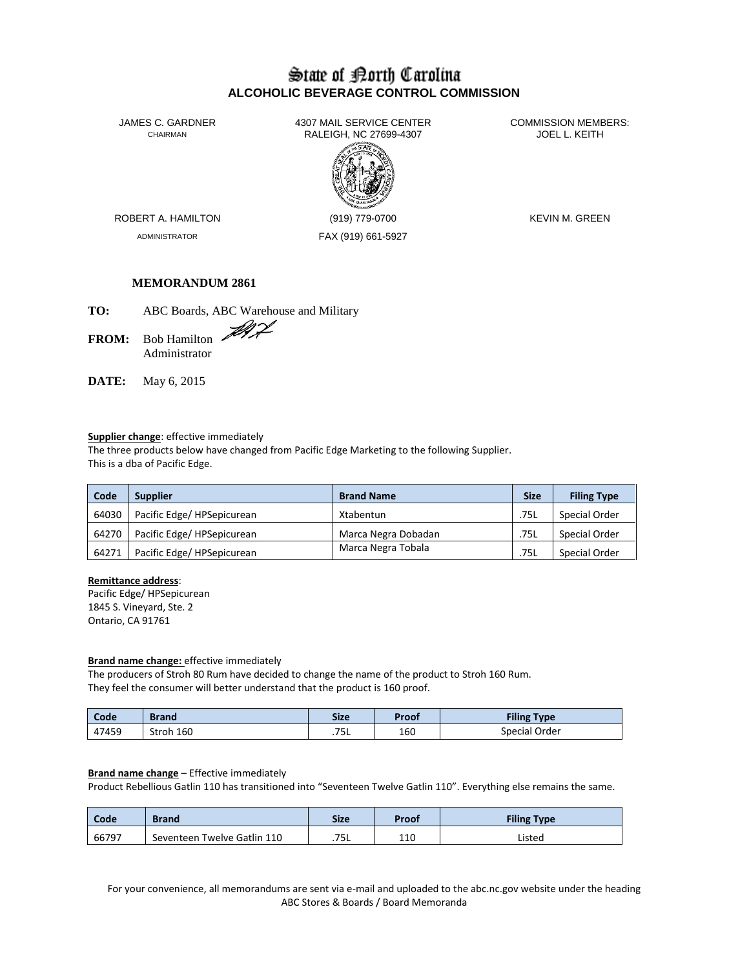# State of Borth Carolina **ALCOHOLIC BEVERAGE CONTROL COMMISSION**

JAMES C. GARDNER 4307 MAIL SERVICE CENTER<br>CHAIRMAN CHAIRMAN RALEIGH. NC 27699-4307 RALEIGH, NC 27699-4307



ADMINISTRATOR FAX (919) 661-5927

ROBERT A. HAMILTON (919) 779-0700 KEVIN M. GREEN

# **MEMORANDUM 2861**

**TO:** ABC Boards, ABC Warehouse and Military

FROM: Bob Hamilton Administrator

**DATE:** May 6, 2015

# **Supplier change**: effective immediately

The three products below have changed from Pacific Edge Marketing to the following Supplier. This is a dba of Pacific Edge.

| Code  | <b>Supplier</b>            | <b>Brand Name</b>   | <b>Size</b> | <b>Filing Type</b> |
|-------|----------------------------|---------------------|-------------|--------------------|
| 64030 | Pacific Edge/HPSepicurean  | Xtabentun           | .75L        | Special Order      |
| 64270 | Pacific Edge/ HPSepicurean | Marca Negra Dobadan | .75L        | Special Order      |
| 64271 | Pacific Edge/ HPSepicurean | Marca Negra Tobala  | .75L        | Special Order      |

#### **Remittance address**:

Pacific Edge/ HPSepicurean 1845 S. Vineyard, Ste. 2 Ontario, CA 91761

#### **Brand name change:** effective immediately

The producers of Stroh 80 Rum have decided to change the name of the product to Stroh 160 Rum. They feel the consumer will better understand that the product is 160 proof.

| Code  | <b>Brand</b> | <b>Size</b>        | Proof | <b>Filing Type</b> |
|-------|--------------|--------------------|-------|--------------------|
| 47459 | Stroh 160    | <u>те</u><br>ـار . | 160   | Special Order      |

#### **Brand name change** – Effective immediately

Product Rebellious Gatlin 110 has transitioned into "Seventeen Twelve Gatlin 110". Everything else remains the same.

| Code  | <b>Brand</b>                | <b>Size</b> | Proof | <b>Filing Type</b> |
|-------|-----------------------------|-------------|-------|--------------------|
| 66797 | Seventeen Twelve Gatlin 110 | .75L        | 110   | Listed             |

For your convenience, all memorandums are sent via e-mail and uploaded to the abc.nc.gov website under the heading ABC Stores & Boards / Board Memoranda